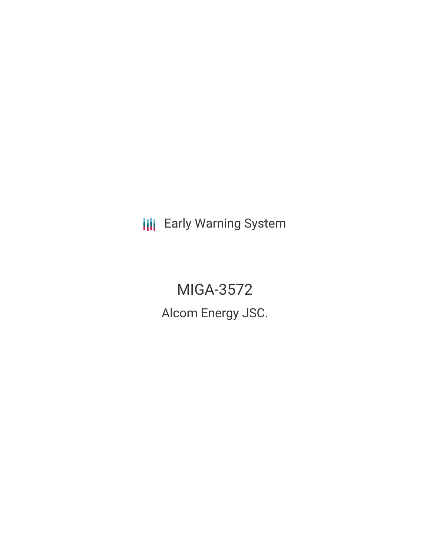**III** Early Warning System

MIGA-3572 Alcom Energy JSC.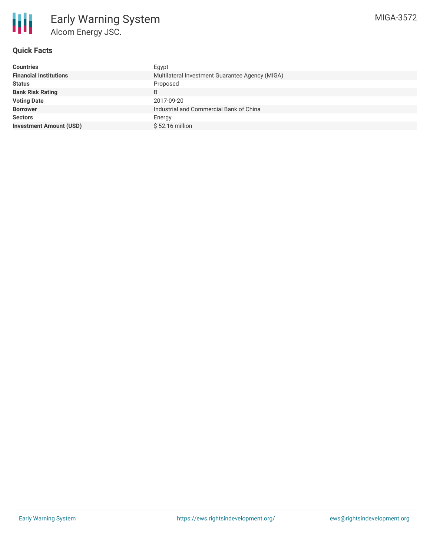

# **Quick Facts**

| <b>Countries</b>               | Egypt                                           |
|--------------------------------|-------------------------------------------------|
| <b>Financial Institutions</b>  | Multilateral Investment Guarantee Agency (MIGA) |
| <b>Status</b>                  | Proposed                                        |
| <b>Bank Risk Rating</b>        | B                                               |
| <b>Voting Date</b>             | 2017-09-20                                      |
| <b>Borrower</b>                | Industrial and Commercial Bank of China         |
| <b>Sectors</b>                 | Energy                                          |
| <b>Investment Amount (USD)</b> | $$52.16$ million                                |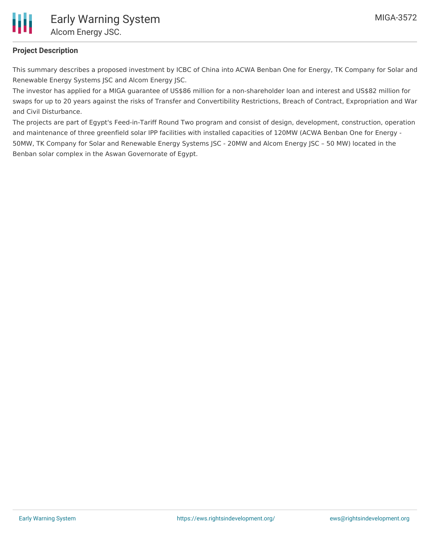

# **Project Description**

This summary describes a proposed investment by ICBC of China into ACWA Benban One for Energy, TK Company for Solar and Renewable Energy Systems JSC and Alcom Energy JSC.

The investor has applied for a MIGA guarantee of US\$86 million for a non-shareholder loan and interest and US\$82 million for swaps for up to 20 years against the risks of Transfer and Convertibility Restrictions, Breach of Contract, Expropriation and War and Civil Disturbance.

The projects are part of Egypt's Feed-in-Tariff Round Two program and consist of design, development, construction, operation and maintenance of three greenfield solar IPP facilities with installed capacities of 120MW (ACWA Benban One for Energy - 50MW, TK Company for Solar and Renewable Energy Systems JSC - 20MW and Alcom Energy JSC – 50 MW) located in the Benban solar complex in the Aswan Governorate of Egypt.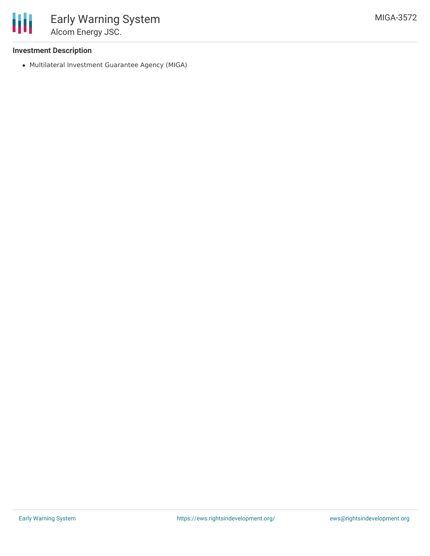

### **Investment Description**

Multilateral Investment Guarantee Agency (MIGA)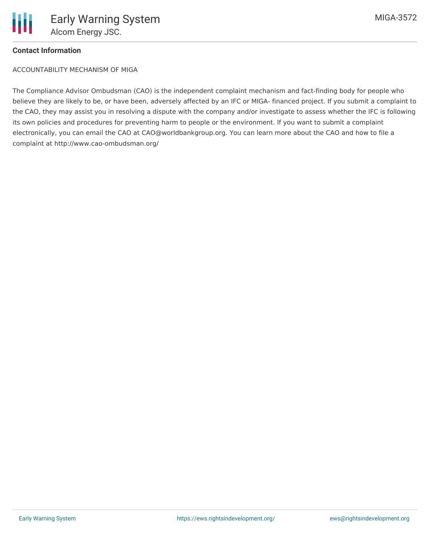

### **Contact Information**

ACCOUNTABILITY MECHANISM OF MIGA

The Compliance Advisor Ombudsman (CAO) is the independent complaint mechanism and fact-finding body for people who believe they are likely to be, or have been, adversely affected by an IFC or MIGA- financed project. If you submit a complaint to the CAO, they may assist you in resolving a dispute with the company and/or investigate to assess whether the IFC is following its own policies and procedures for preventing harm to people or the environment. If you want to submit a complaint electronically, you can email the CAO at CAO@worldbankgroup.org. You can learn more about the CAO and how to file a complaint at http://www.cao-ombudsman.org/